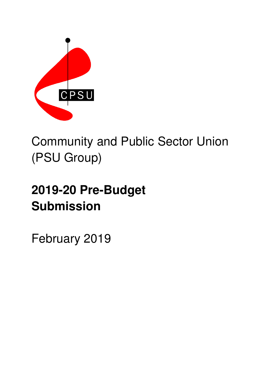

# Community and Public Sector Union (PSU Group)

# **2019-20 Pre-Budget Submission**

February 2019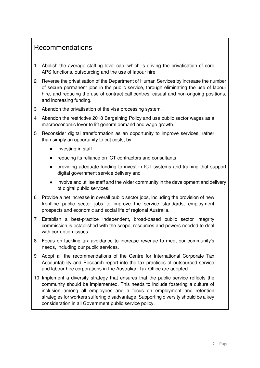# Recommendations

- 1 Abolish the average staffing level cap, which is driving the privatisation of core APS functions, outsourcing and the use of labour hire.
- 2 Reverse the privatisation of the Department of Human Services by increase the number of secure permanent jobs in the public service, through eliminating the use of labour hire, and reducing the use of contract call centres, casual and non-ongoing positions, and increasing funding.
- 3 Abandon the privatisation of the visa processing system.
- 4 Abandon the restrictive 2018 Bargaining Policy and use public sector wages as a macroeconomic lever to lift general demand and wage growth.
- 5 Reconsider digital transformation as an opportunity to improve services, rather than simply an opportunity to cut costs, by:
	- investing in staff
	- reducing its reliance on ICT contractors and consultants
	- providing adequate funding to invest in ICT systems and training that support digital government service delivery and
	- involve and utilise staff and the wider community in the development and delivery of digital public services.
- 6 Provide a net increase in overall public sector jobs, including the provision of new frontline public sector jobs to improve the service standards, employment prospects and economic and social life of regional Australia.
- 7 Establish a best-practice independent, broad-based public sector integrity commission is established with the scope, resources and powers needed to deal with corruption issues.
- 8 Focus on tackling tax avoidance to increase revenue to meet our community's needs, including our public services.
- 9 Adopt all the recommendations of the Centre for International Corporate Tax Accountability and Research report into the tax practices of outsourced service and labour hire corporations in the Australian Tax Office are adopted.
- 10 Implement a diversity strategy that ensures that the public service reflects the community should be implemented. This needs to include fostering a culture of inclusion among all employees and a focus on employment and retention strategies for workers suffering disadvantage. Supporting diversity should be a key consideration in all Government public service policy.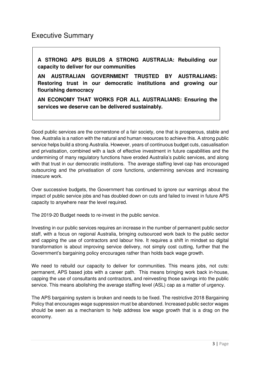# Executive Summary

**A STRONG APS BUILDS A STRONG AUSTRALIA: Rebuilding our capacity to deliver for our communities** 

**AN AUSTRALIAN GOVERNMENT TRUSTED BY AUSTRALIANS: Restoring trust in our democratic institutions and growing our flourishing democracy** 

**AN ECONOMY THAT WORKS FOR ALL AUSTRALIANS: Ensuring the services we deserve can be delivered sustainably.** 

Good public services are the cornerstone of a fair society, one that is prosperous, stable and free. Australia is a nation with the natural and human resources to achieve this. A strong public service helps build a strong Australia. However, years of continuous budget cuts, casualisation and privatisation, combined with a lack of effective investment in future capabilities and the undermining of many regulatory functions have eroded Australia's public services, and along with that trust in our democratic institutions. The average staffing level cap has encouraged outsourcing and the privatisation of core functions, undermining services and increasing insecure work.

Over successive budgets, the Government has continued to ignore our warnings about the impact of public service jobs and has doubled down on cuts and failed to invest in future APS capacity to anywhere near the level required.

The 2019-20 Budget needs to re-invest in the public service.

Investing in our public services requires an increase in the number of permanent public sector staff, with a focus on regional Australia, bringing outsourced work back to the public sector and capping the use of contractors and labour hire. It requires a shift in mindset so digital transformation is about improving service delivery, not simply cost cutting, further that the Government's bargaining policy encourages rather than holds back wage growth.

We need to rebuild our capacity to deliver for communities. This means jobs, not cuts: permanent, APS based jobs with a career path. This means bringing work back in-house, capping the use of consultants and contractors, and reinvesting those savings into the public service. This means abolishing the average staffing level (ASL) cap as a matter of urgency.

The APS bargaining system is broken and needs to be fixed. The restrictive 2018 Bargaining Policy that encourages wage suppression must be abandoned. Increased public sector wages should be seen as a mechanism to help address low wage growth that is a drag on the economy.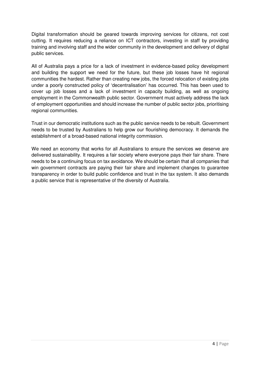Digital transformation should be geared towards improving services for citizens, not cost cutting. It requires reducing a reliance on ICT contractors, investing in staff by providing training and involving staff and the wider community in the development and delivery of digital public services.

All of Australia pays a price for a lack of investment in evidence-based policy development and building the support we need for the future, but these job losses have hit regional communities the hardest. Rather than creating new jobs, the forced relocation of existing jobs under a poorly constructed policy of 'decentralisation' has occurred. This has been used to cover up job losses and a lack of investment in capacity building, as well as ongoing employment in the Commonwealth public sector. Government must actively address the lack of employment opportunities and should increase the number of public sector jobs, prioritising regional communities.

Trust in our democratic institutions such as the public service needs to be rebuilt. Government needs to be trusted by Australians to help grow our flourishing democracy. It demands the establishment of a broad-based national integrity commission.

We need an economy that works for all Australians to ensure the services we deserve are delivered sustainability. It requires a fair society where everyone pays their fair share. There needs to be a continuing focus on tax avoidance. We should be certain that all companies that win government contracts are paying their fair share and implement changes to guarantee transparency in order to build public confidence and trust in the tax system. It also demands a public service that is representative of the diversity of Australia.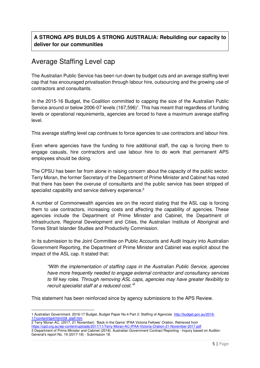## **A STRONG APS BUILDS A STRONG AUSTRALIA: Rebuilding our capacity to deliver for our communities**

# Average Staffing Level cap

The Australian Public Service has been run down by budget cuts and an average staffing level cap that has encouraged privatisation through labour hire, outsourcing and the growing use of contractors and consultants.

In the 2015-16 Budget, the Coalition committed to capping the size of the Australian Public Service around or below 2006-07 levels  $(167,596)^1$ . This has meant that regardless of funding levels or operational requirements, agencies are forced to have a maximum average staffing level.

This average staffing level cap continues to force agencies to use contractors and labour hire.

Even where agencies have the funding to hire additional staff, the cap is forcing them to engage casuals, hire contractors and use labour hire to do work that permanent APS employees should be doing.

The CPSU has been far from alone in raising concern about the capacity of the public sector. Terry Moran, the former Secretary of the Department of Prime Minister and Cabinet has noted that there has been the overuse of consultants and the public service has been stripped of specialist capability and service delivery experience.<sup>2</sup>

A number of Commonwealth agencies are on the record stating that the ASL cap is forcing them to use contractors, increasing costs and affecting the capability of agencies. These agencies include the Department of Prime Minister and Cabinet, the Department of Infrastructure, Regional Development and Cities, the Australian Institute of Aboriginal and Torres Strait Islander Studies and Productivity Commission.

In its submission to the Joint Committee on Public Accounts and Audit Inquiry into Australian Government Reporting, the Department of Prime Minister and Cabinet was explicit about the impact of the ASL cap. It stated that:

"With the implementation of staffing caps in the Australian Public Service, agencies have more frequently needed to engage external contractor and consultancy services to fill key roles. Through removing ASL caps, agencies may have greater flexibility to recruit specialist staff at a reduced cost.<sup>16</sup>

This statement has been reinforced since by agency submissions to the APS Review.

 $\overline{a}$ 

<sup>1</sup> Australian Government. 2016-17 Budget, Budget Paper No.4 Part 2: Staffing of Agencies http://budget.gov.au/2016- 17/content/bp4/html/09\_staff.htm

<sup>2</sup> Terry Moran AC. (2017, 21 November). 'Back in the Game' IPAA Victoria Fellows' Oration. Retrieved from https://cpd.org.au/wp-content/uploads/2017/11/Terry-Moran-AC-IPAA-Victoria-Oration-21-November-2017.pdf

<sup>3</sup> Department of Prime Minister and Cabinet (2018). Australian Government Contract Reporting - Inquiry based on Auditor-General's report No. 19 (2017-18) - Submission 18.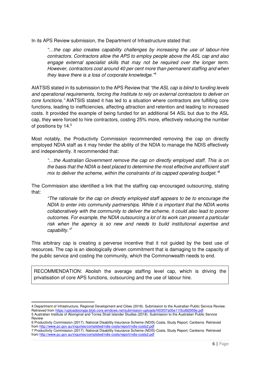In its APS Review submission, the Department of Infrastructure stated that:

"…the cap also creates capability challenges by increasing the use of labour-hire contractors. Contractors allow the APS to employ people above the ASL cap and also engage external specialist skills that may not be required over the longer term. However, contractors cost around 40 per cent more than permanent staffing and when they leave there is a loss of corporate knowledge."<sup>4</sup>

AIATSIS stated in its submission to the APS Review that "the ASL cap is blind to funding levels" and operational requirements, forcing the Institute to rely on external contractors to deliver on core functions." AIATSIS stated it has led to a situation where contractors are fulfilling core functions, leading to inefficiencies, affecting attraction and retention and leading to increased costs. It provided the example of being funded for an additional 54 ASL but due to the ASL cap, they were forced to hire contractors, costing 25% more, effectively reducing the number of positions by 14.<sup>5</sup>

Most notably, the Productivity Commission recommended removing the cap on directly employed NDIA staff as it may hinder the ability of the NDIA to manage the NDIS effectively and independently. It recommended that:

"…the Australian Government remove the cap on directly employed staff. This is on the basis that the NDIA is best placed to determine the most effective and efficient staff mix to deliver the scheme, within the constraints of its capped operating budget.<sup>"6</sup>

The Commission also identified a link that the staffing cap encouraged outsourcing, stating that:

"The rationale for the cap on directly employed staff appears to be to encourage the NDIA to enter into community partnerships. While it is important that the NDIA works collaboratively with the community to deliver the scheme, it could also lead to poorer outcomes. For example, the NDIA outsourcing a lot of its work can present a particular risk when the agency is so new and needs to build institutional expertise and capability."<sup>7</sup>

This arbitrary cap is creating a perverse incentive that it not guided by the best use of resources. The cap is an ideologically driven commitment that is damaging to the capacity of the public service and costing the community, which the Commonwealth needs to end.

RECOMMENDATION: Abolish the average staffing level cap, which is driving the privatisation of core APS functions, outsourcing and the use of labour hire.

 $\overline{a}$ 

<sup>4</sup> Department of Infrastructure, Regional Development and Cities (2018). Submission to the Australian Public Service Review. Retrieved from https://uploadstorage.blob.core.windows.net/submission-uploads/fil03f37a05e11f3cd92959e.pdf

<sup>5</sup> Australian Institute of Aboriginal and Torres Strait Islander Studies (2018). Submission to the Australian Public Service Review

<sup>6</sup> Productivity Commission (2017). National Disability Insurance Scheme (NDIS) Costs, Study Report, Canberra. Retrieved from http://www.pc.gov.au/inquiries/completed/ndis-costs/report/ndis-costs2.pd

<sup>7</sup> Productivity Commission (2017). National Disability Insurance Scheme (NDIS) Costs, Study Report, Canberra. Retrieved from http://www.pc.gov.au/inquiries/completed/ndis-costs/report/ndis-costs2.pdf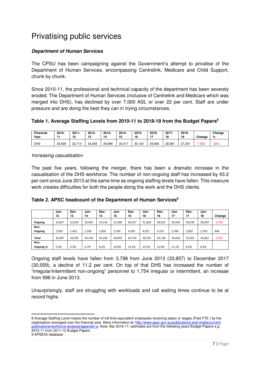# Privatising public services

### **Department of Human Services**

The CPSU has been campaigning against the Government's attempt to privatise of the Department of Human Services, encompassing Centrelink, Medicare and Child Support, chunk by chunk.

Since 2010-11, the professional and technical capacity of the department has been severely eroded. The Department of Human Services (inclusive of Centrelink and Medicare which was merged into DHS), has declined by over 7,000 ASL or over 22 per cent. Staff are under pressure and are doing the best they can in trying circumstances.

### **Table 1. Average Staffing Levels from 2010-11 to 2018-19 from the Budget Papers<sup>8</sup>**

| <b>Financial</b><br>Year | $2010 -$ | $2011 -$<br>12 | $2012 -$<br>13 | 2013-<br>14 | $2014 -$<br>15 | 2015-<br>16 | 2016-  | 2017-<br>18 | 2018-<br>19 | Change | Change<br>% |
|--------------------------|----------|----------------|----------------|-------------|----------------|-------------|--------|-------------|-------------|--------|-------------|
| <b>DHS</b>               | 34,839   | 32.714         | 32.048         | 29,989      | 30,017         | 30.102      | 29,835 | 28.587      | 27.307      | '.532  | $-22%$      |

Increasing casualisation

l

The past five years, following the merger, there has been a dramatic increase in the casualisation of the DHS workforce. The number of non-ongoing staff has increased by 43.2 per cent since June 2013 at the same time as ongoing staffing levels have fallen. This insecure work creates difficulties for both the people doing the work and the DHS clients.

| Table 2. APSC headcount of the Department of Human Services <sup>9</sup> |  |
|--------------------------------------------------------------------------|--|
|--------------------------------------------------------------------------|--|

|           | Jun-<br>13 | Dec-<br>13 | Jun-<br>14 | Dec-<br>14 | Jun-<br>15 | Dec-<br>15 | Jun-<br>16 | Dec-<br>16 | Jun-<br>17 | Dec-<br>17 | Jun-<br>18 | Change   |
|-----------|------------|------------|------------|------------|------------|------------|------------|------------|------------|------------|------------|----------|
|           |            |            |            |            |            |            |            |            |            |            |            |          |
| Ongoing   | 33,857     | 32.943     | 32.405     | 31,516     | 31.090     | 30.427     | 31,628     | 30,913     | 30.240     | 30,439     | 30,059     | $-3,798$ |
| Non-      |            |            |            |            |            |            |            |            |            |            |            |          |
| Ongoing   | 1,950      | 1,452      | 2.339      | 2,810      | 3.769      | 4.283      | 4,927      | 4.225      | 3,780      | 2,826      | 2,793      | 843      |
| Total     | 35,807     | 34,395     | 34.744     | 34,326     | 34,859     | 34,710     | 36,555     | 35,138     | 34,020     | 33,265     | 32,852     | $-2,955$ |
| Non-      |            |            |            |            |            |            |            |            |            |            |            |          |
| Ongoing % | 5.4%       | 4.2%       | 6.7%       | 8.2%       | 10.8%      | 12.3%      | 13.5%      | 12.0%      | 11.1%      | 8.5%       | 8.5%       |          |

Ongoing staff levels have fallen from 3,798 from June 2013 (33,857) to December 2017 (30,059), a decline of 11.2 per cent. On top of that DHS has increased the number of "irregular/intermittent non-ongoing" personnel to 1,754 irregular or intermittent, an increase from 998 in June 2013.

Unsurprisingly, staff are struggling with workloads and call waiting times continue to be at record highs.

<sup>8</sup> Average Staffing Level means the number of full-time equivalent employees receiving salary or wages (Paid FTE ) by the organisation averaged over the financial year. More information at: http://www.apsc.gov.au/publications-and-media/currentpublications/workforce-analysis/appendix-a. Note: Bar 2016-17, estimates are from the following years Budget Papers e.g. 2010-11 from 2011-12 Budget Papers 9 APSEDii database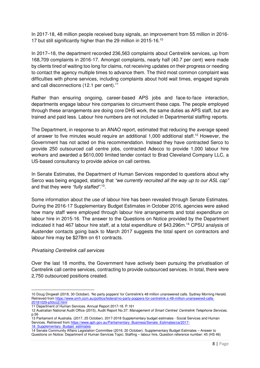In 2017-18, 48 million people received busy signals, an improvement from 55 million in 2016- 17 but still significantly higher than the 29 million in 2015-16.<sup>10</sup>

In 2017–18, the department recorded 236,563 complaints about Centrelink services, up from 168,709 complaints in 2016-17. Amongst complaints, nearly half (40.7 per cent) were made by clients tired of waiting too long for claims, not receiving updates on their progress or needing to contact the agency multiple times to advance them. The third most common complaint was difficulties with phone services, including complaints about hold wait times, engaged signals and call disconnections (12.1 per cent).<sup>11</sup>

Rather than ensuring ongoing, career-based APS jobs and face-to-face interaction, departments engage labour hire companies to circumvent these caps. The people employed through these arrangements are doing core DHS work, the same duties as APS staff, but are trained and paid less. Labour hire numbers are not included in Departmental staffing reports.

The Department, in response to an ANAO report, estimated that reducing the average speed of answer to five minutes would require an additional 1,000 additional staff.<sup>12</sup> However, the Government has not acted on this recommendation. Instead they have contracted Serco to provide 250 outsourced call centre jobs, contracted Adecco to provide 1,000 labour hire workers and awarded a \$610,000 limited tender contact to Brad Cleveland Company LLC, a US-based consultancy to provide advice on call centres.

In Senate Estimates, the Department of Human Services responded to questions about why Serco was being engaged, stating that "we currently recruited all the way up to our ASL cap" and that they were "fully staffed".<sup>13</sup>.

Some information about the use of labour hire has been revealed through Senate Estimates. During the 2016-17 Supplementary Budget Estimates in October 2016, agencies were asked how many staff were employed through labour hire arrangements and total expenditure on labour hire in 2015-16. The answer to the Questions on Notice provided by the Department indicated it had 467 labour hire staff, at a total expenditure of \$43.296m.<sup>14</sup> CPSU analysis of Austender contacts going back to March 2017 suggests the total spent on contractors and labour hire may be \$278m on 61 contracts.

#### Privatising Centrelink call services

 $\overline{a}$ 

Over the last 18 months, the Government have actively been pursuing the privatisation of Centrelink call centre services, contracting to provide outsourced services. In total, there were 2,750 outsourced positions created.

Services. Retrieved from https://www.aph.gov.au/Parliamentary\_Business/Senate\_Estimates/ca/2017-18 Supplementary Budget estimates

<sup>10</sup> Doug Dingwall (2018, 30 October). 'No party poppers' for Centrelink's 48 million unanswered calls. Sydney Morning Herald. Retrieved from https://www.smh.com.au/politics/federal/no-party-poppers-for-centrelink-s-48-million-unanswered-calls-20181029-p50co2.html

<sup>11</sup> Department of Human Services. Annual Report 2017-18. P.161

<sup>12</sup> Australian National Audit Office (2015), Audit Report No.37: Management of Smart Centres' Centrelink Telephone Services, p.56 13 Parliament of Australia. (2017, 25 October). 2017-2018 Supplementary budget estimates - Social Services and Human

<sup>14</sup> Senate Community Affairs Legislation Committee (2016, 20 October). Supplementary Budget Estimates – Answer to Questions on Notice: Department of Human Services Topic: Staffing – labour hire, Question reference number: 45 (HS 46)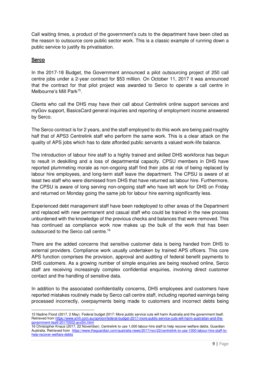Call waiting times, a product of the government's cuts to the department have been cited as the reason to outsource core public sector work. This is a classic example of running down a public service to justify its privatisation.

#### **Serco**

In the 2017-18 Budget, the Government announced a pilot outsourcing project of 250 call centre jobs under a 2-year contract for \$53 million. On October 11, 2017 it was announced that the contract for that pilot project was awarded to Serco to operate a call centre in Melbourne's Mill Park<sup>15</sup>.

Clients who call the DHS may have their call about Centrelink online support services and myGov support, BasicsCard general inquiries and reporting of employment income answered by Serco.

The Serco contract is for 2 years, and the staff employed to do this work are being paid roughly half that of APS3 Centrelink staff who perform the same work. This is a clear attack on the quality of APS jobs which has to date afforded public servants a valued work-life balance.

The introduction of labour hire staff to a highly trained and skilled DHS workforce has begun to result in deskilling and a loss of departmental capacity. CPSU members in DHS have reported plummeting morale as non-ongoing staff find their jobs at risk of being replaced by labour hire employees, and long-term staff leave the department. The CPSU is aware of at least two staff who were dismissed from DHS that have returned as labour hire. Furthermore, the CPSU is aware of long serving non-ongoing staff who have left work for DHS on Friday and returned on Monday going the same job for labour hire earning significantly less.

Experienced debt management staff have been redeployed to other areas of the Department and replaced with new permanent and casual staff who could be trained in the new process unburdened with the knowledge of the previous checks and balances that were removed. This has continued as compliance work now makes up the bulk of the work that has been outsourced to the Serco call centre.<sup>16</sup>

There are the added concerns that sensitive customer data is being handed from DHS to external providers. Compliance work usually undertaken by trained APS officers. This core APS function comprises the provision, approval and auditing of federal benefit payments to DHS customers. As a growing number of simple enquiries are being resolved online, Serco staff are receiving increasingly complex confidential enquiries, involving direct customer contact and the handling of sensitive data.

In addition to the associated confidentiality concerns, DHS employees and customers have reported mistakes routinely made by Serco call centre staff, including reported earnings being processed incorrectly, overpayments being made to customers and incorrect debts being

 $\overline{a}$ 15 Nadine Flood (2017, 2 May). Federal budget 2017: More public service cuts will harm Australia and the government itself. Retrieved from https://www.smh.com.au/opinion/federal-budget-2017-more-public-service-cuts-will-harm-australian-and-thegovernment-itself-20170502-gvx5ln.html

<sup>16</sup> Christopher Knaus (2017, 22 November). Centrelink to use 1,000 labour-hire staff to help recover welfare debts. Guardian Australia. Retrieved from https://www.theguardian.com/australia-news/2017/nov/22/centrelink-to-use-1000-labour-hire-staff-tohelp-recover-welfare-debts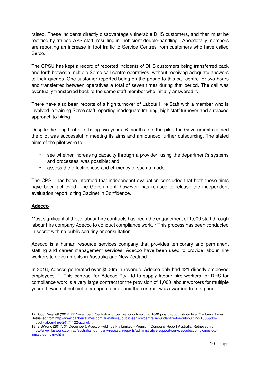raised. These incidents directly disadvantage vulnerable DHS customers, and then must be rectified by trained APS staff, resulting in inefficient double-handling. Anecdotally members are reporting an increase in foot traffic to Service Centres from customers who have called Serco.

The CPSU has kept a record of reported incidents of DHS customers being transferred back and forth between multiple Serco call centre operatives, without receiving adequate answers to their queries. One customer reported being on the phone to this call centre for two hours and transferred between operatives a total of seven times during that period. The call was eventually transferred back to the same staff member who initially answered it.

There have also been reports of a high turnover of Labour Hire Staff with a member who is involved in training Serco staff reporting inadequate training, high staff turnover and a relaxed approach to hiring.

Despite the length of pilot being two years, 6 months into the pilot, the Government claimed the pilot was successful in meeting its aims and announced further outsourcing. The stated aims of the pilot were to

- see whether increasing capacity through a provider, using the department's systems and processes, was possible; and
- assess the effectiveness and efficiency of such a model.

The CPSU has been informed that independent evaluation concluded that both these aims have been achieved. The Government, however, has refused to release the independent evaluation report, citing Cabinet in Confidence.

#### **Adecco**

 $\overline{a}$ 

Most significant of these labour hire contracts has been the engagement of 1,000 staff through labour hire company Adecco to conduct compliance work.<sup>17</sup> This process has been conducted in secret with no public scrutiny or consultation.

Adecco is a human resource services company that provides temporary and permanent staffing and career management services. Adecco have been used to provide labour hire workers to governments in Australia and New Zealand.

In 2016, Adecco generated over \$500m in revenue. Adecco only had 421 directly employed employees.<sup>18</sup> This contract for Adecco Pty Ltd to supply labour hire workers for DHS for compliance work is a very large contract for the provision of 1,000 labour workers for multiple years. It was not subject to an open tender and the contract was awarded from a panel.

<sup>17</sup> Doug Dingwell (2017, 22 November). Centrelink under fire for outsourcing 1000 jobs through labour hire. Canberra Times. Retrieved from http://www.canberratimes.com.au/national/public-service/centrelink-under-fire-for-outsourcing-1000-jobsthrough-labour-hire-20171122-gzqjwl.html

<sup>18</sup> IBISWorld (2017, 31 December). Adecco Holdings Pty Limited - Premium Company Report Australia. Retrieved from https://www.ibisworld.com.au/australian-company-research-reports/administrative-support-services/adecco-holdings-ptylimited-company.html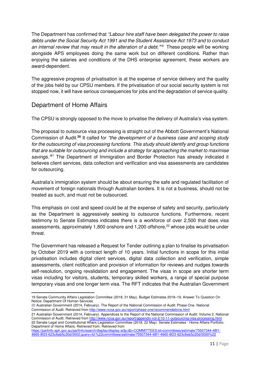The Department has confirmed that "Labour hire staff have been delegated the power to raise debts under the Social Security Act 1991 and the Student Assistance Act 1973 and to conduct an internal review that may result in the alteration of a debt."<sup>19</sup> These people will be working alongside APS employees doing the same work but on different conditions. Rather than enjoying the salaries and conditions of the DHS enterprise agreement, these workers are award-dependent.

The aggressive progress of privatisation is at the expense of service delivery and the quality of the jobs held by our CPSU members. If the privatisation of our social security system is not stopped now, it will have serious consequences for jobs and the degradation of service quality.

## Department of Home Affairs

 $\overline{a}$ 

The CPSU is strongly opposed to the move to privatise the delivery of Australia's visa system.

The proposal to outsource visa processing is straight out of the Abbott Government's National Commission of Audit.**<sup>20</sup>** It called for "the development of a business case and scoping study for the outsourcing of visa processing functions. This study should identify and group functions that are suitable for outsourcing and include a strategy for approaching the market to maximise savings.<sup>"21</sup> The Department of Immigration and Border Protection has already indicated it believes client services, data collection and verification and visa assessments are candidates for outsourcing.

Australia's immigration system should be about ensuring the safe and regulated facilitation of movement of foreign nationals through Australian borders. It is not a business, should not be treated as such, and must not be outsourced.

This emphasis on cost and speed could be at the expense of safety and security, particularly as the Department is aggressively seeking to outsource functions. Furthermore, recent testimony to Senate Estimates indicates there is a workforce of over 2,500 that does visa assessments, approximately 1,800 onshore and 1,200 offshore,<sup>22</sup> whose jobs would be under threat.

The Government has released a Request for Tender outlining a plan to finalise its privatisation by October 2019 with a contract length of 10 years. Initial functions in scope for this initial privatisation includes digital client services, digital data collection and verification, simple assessments, client notification and provision of information for reviews and nudges towards self-resolution, ongoing revalidation and engagement. The visas in scope are shorter term visas including for visitors, students, temporary skilled workers, a range of special purpose temporary visas and one longer term visa. The RFT indicates that the Australian Government

https://parlinfo.aph.gov.au/parlInfo/search/display/display.w3p;db=COMMITTEES;id=committees/estimate/75507344-48f1- 4665-8f23-623c6eb5c20d/0002;query=Id:%22committees/estimate/75507344-48f1-4665-8f23-623c6eb5c20d/0000%22

<sup>19</sup> Senate Community Affairs Legislation Committee (2018, 31 May), Budget Estimates 2018–19. Answer To Question On Notice: Department Of Human Services

<sup>20</sup> Australian Government (2014, February). The Report of the National Commission of Audit: Phase One. National Commission of Audit. Retrieved from http://www.ncoa.gov.au/report/phase-one/recommendations.html

<sup>21</sup> Australian Government (2014, February). Appendices to the Report of the National Commission of Audit: Volume 2. National Commission of Audit. Retrieved from http://www.ncoa.gov.au/report/appendix-vol-2/10-11-outsourcing-visa-processing.html 22 Senate Legal and Constitutional Affairs Legislation Committee (2018, 22 May). Senate Estimates - Home Affairs Portfolio: Department of Home Affairs. Retrieved from. Retrieved from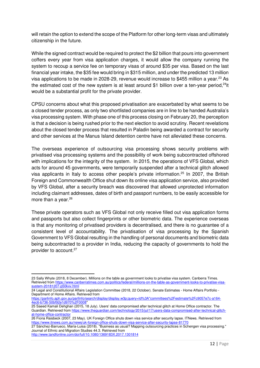will retain the option to extend the scope of the Platform for other long-term visas and ultimately citizenship in the future.

While the signed contract would be required to protect the \$2 billion that pours into government coffers every year from visa application charges, it would allow the company running the system to recoup a service fee on temporary visas of around \$35 per visa. Based on the last financial year intake, the \$35 fee would bring in \$315 million, and under the predicted 13 million visa applications to be made in 2028-29, revenue would increase to \$455 million a year.<sup>23</sup> As the estimated cost of the new system is at least around \$1 billion over a ten-year period, $24$ it would be a substantial profit for the private provider.

CPSU concerns about what this proposed privatisation are exacerbated by what seems to be a closed tender process, as only two shortlisted companies are in line to be handed Australia's visa processing system. With phase one of this process closing on February 20, the perception is that a decision is being rushed prior to the next election to avoid scrutiny. Recent revelations about the closed tender process that resulted in Paladin being awarded a contract for security and other services at the Manus Island detention centre have not alleviated these concerns.

The overseas experience of outsourcing visa processing shows security problems with privatised visa processing systems and the possibility of work being subcontracted offshored with implications for the integrity of the system. In 2015, the operations of VFS Global, which acts for around 45 governments, were temporarily suspended after a technical glitch allowed visa applicants in Italy to access other people's private information.<sup>25</sup> In 2007, the British Foreign and Commonwealth Office shut down its online visa application service, also provided by VFS Global, after a security breach was discovered that allowed unprotected information including claimant addresses, dates of birth and passport numbers, to be easily accessible for more than a year.<sup>26</sup>

These private operators such as VFS Global not only receive filled out visa application forms and passports but also collect fingerprints or other biometric data. The experience overseas is that any monitoring of privatised providers is decentralised, and there is no guarantee of a consistent level of accountability. The privatisation of visa processing by the Spanish Government to VFS Global resulting in the handling of personal documents and biometric data being subcontracted to a provider in India, reducing the capacity of governments to hold the provider to account.<sup>27</sup>

27 Sánchez-Barrueco, María-Luisa (2018). "Business as usual? Mapping outsourcing practices in Schengen visa processing." Journal of Ethnic and Migration Studies 44.3. Retrieved from

http://www.tandfonline.com/doi/full/10.1080/1369183X.2017.1301814

 $\overline{a}$ 

<sup>23</sup> Sally Whyte (2018, 8 December). Millions on the table as government looks to privatise visa system. Canberra Times. Retrieved from https://www.canberratimes.com.au/politics/federal/millions-on-the-table-as-government-looks-to-privatise-visasystem-20181207-p50kxv.html

<sup>24</sup> Legal and Constitutional Affairs Legislation Committee (2018, 22 October). Senate Estimates - Home Affairs Portfolio - Department of Home Affairs. Retrieved from

https://parlinfo.aph.gov.au/parlInfo/search/display/display.w3p;query=Id%3A"committees%2Festimate%2Fc9057e7c-a164- 4ec6-b736-50bf92e1d970%2F0008"

<sup>25</sup> Saeed Kamali Dehghan (2015, 18 July). Users' data compromised after technical glitch at Home Office contractor. The Guardian. Retrieved from https://www.theguardian.com/technology/2015/jul/17/users-data-compromised-after-technical-glitchat-home-office-contractor

<sup>26</sup> Fiona Raisbeck (2007, 23 May). UK Foreign Office shuts down visa service after security lapse. ITNews. Retrieved from https://www.itnews.com.au/news/uk-foreign-office-shuts-down-visa-service-after-security-lapse-81770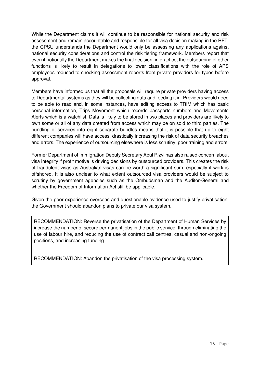While the Department claims it will continue to be responsible for national security and risk assessment and remain accountable and responsible for all visa decision making in the RFT, the CPSU understands the Department would only be assessing any applications against national security considerations and control the risk tiering framework. Members report that even if notionally the Department makes the final decision, in practice, the outsourcing of other functions is likely to result in delegations to lower classifications with the role of APS employees reduced to checking assessment reports from private providers for typos before approval.

Members have informed us that all the proposals will require private providers having access to Departmental systems as they will be collecting data and feeding it in. Providers would need to be able to read and, in some instances, have editing access to TRIM which has basic personal information, Trips Movement which records passports numbers and Movements Alerts which is a watchlist. Data is likely to be stored in two places and providers are likely to own some or all of any data created from access which may be on sold to third parties. The bundling of services into eight separate bundles means that it is possible that up to eight different companies will have access, drastically increasing the risk of data security breaches and errors. The experience of outsourcing elsewhere is less scrutiny, poor training and errors.

Former Department of Immigration Deputy Secretary Abul Rizvi has also raised concern about visa integrity if profit motive is driving decisions by outsourced providers. This creates the risk of fraudulent visas as Australian visas can be worth a significant sum, especially if work is offshored. It is also unclear to what extent outsourced visa providers would be subject to scrutiny by government agencies such as the Ombudsman and the Auditor-General and whether the Freedom of Information Act still be applicable.

Given the poor experience overseas and questionable evidence used to justify privatisation, the Government should abandon plans to private our visa system.

RECOMMENDATION: Reverse the privatisation of the Department of Human Services by increase the number of secure permanent jobs in the public service, through eliminating the use of labour hire, and reducing the use of contract call centres, casual and non-ongoing positions, and increasing funding.

RECOMMENDATION: Abandon the privatisation of the visa processing system.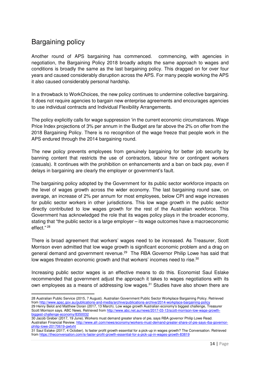# Bargaining policy

l

Another round of APS bargaining has commenced. commencing, with agencies in negotiation, the Bargaining Policy 2018 broadly adopts the same approach to wages and conditions is broadly the same as the last bargaining policy. This dragged on for over four years and caused considerably disruption across the APS. For many people working the APS it also caused considerably personal hardship.

In a throwback to WorkChoices, the new policy continues to undermine collective bargaining. It does not require agencies to bargain new enterprise agreements and encourages agencies to use individual contracts and Individual Flexibility Arrangements.

The policy explicitly calls for wage suppression 'in the current economic circumstances. Wage Price Index projections of 3% per annum in the Budget are far above the 2% on offer from the 2018 Bargaining Policy. There is no recognition of the wage freeze that people work in the APS endured through the 2014 bargaining round.

The new policy prevents employees from genuinely bargaining for better job security by banning content that restricts the use of contractors, labour hire or contingent workers (casuals). It continues with the prohibition on enhancements and a ban on back pay, even if delays in bargaining are clearly the employer or government's fault.

The bargaining policy adopted by the Government for its public sector workforce impacts on the level of wages growth across the wider economy. The last bargaining round saw, on average, an increase of 2% per annum for most employees, below CPI and wage increases for public sector workers in other jurisdictions. This low wage growth in the public sector directly contributed to low wages growth for the rest of the Australian workforce. This Government has acknowledged the role that its wages policy plays in the broader economy, stating that "the public sector is a large employer – its wage outcomes have a macroeconomic effect."<sup>28</sup>

There is broad agreement that workers' wages need to be increased. As Treasurer, Scott Morrison even admitted that low wage growth is significant economic problem and a drag on general demand and government revenue.<sup>29</sup> The RBA Governor Philip Lowe has said that low wages threaten economic growth and that workers' incomes need to rise.<sup>30</sup>

Increasing public sector wages is an effective means to do this. Economist Saul Eslake recommended that government adjust the approach it takes to wages negotiations with its own employees as a means of addressing low wages.<sup>31</sup> Studies have also shown there are

<sup>28</sup> Australian Public Service (2015, 7 August). Australian Government Public Sector Workplace Bargaining Policy. Retrieved from http://www.apsc.gov.au/publications-and-media/archive/publications-archive/2014-workplace-bargaining-policy 29 Henry Belot and Matthew Doran (2017, 13 March). Low wage growth Australian economy's biggest challenge, Treasurer Scott Morrison says. ABC News. Retrieved from http://www.abc.net.au/news/2017-03-13/scott-morrison-low-wage-growthbiggest-challenge-economy/835

<sup>30</sup> Jacob Greber (2017, 19 June). Workers must demand greater share of pie, says RBA governor Philip Lowe Read. Australian Financial Review. http://www.afr.com/news/economy/workers-must-demand-greater-share-of-pie-says-rba-governorphilip-lowe-20170619-gwtxht

<sup>31</sup> Saul Eslake (2017, 4 October). Is faster profit growth essential for a pick-up in wages growth? The Conversation. Retrieved from https://theconversation.com/is-faster-profit-growth-essential-for-a-pick-up-in-wages-growth-83819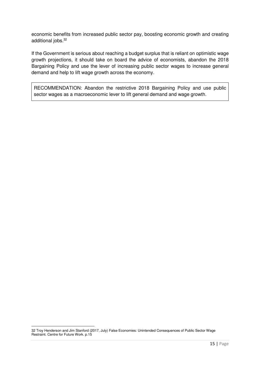economic benefits from increased public sector pay, boosting economic growth and creating additional jobs.<sup>32</sup>

If the Government is serious about reaching a budget surplus that is reliant on optimistic wage growth projections, it should take on board the advice of economists, abandon the 2018 Bargaining Policy and use the lever of increasing public sector wages to increase general demand and help to lift wage growth across the economy.

RECOMMENDATION: Abandon the restrictive 2018 Bargaining Policy and use public sector wages as a macroeconomic lever to lift general demand and wage growth.

 $\overline{a}$ 

<sup>32</sup> Troy Henderson and Jim Stanford (2017, July) False Economies: Unintended Consequences of Public Sector Wage Restraint. Centre for Future Work. p.15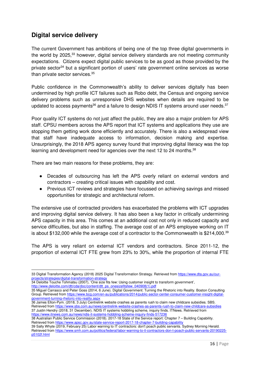## **Digital service delivery**

 $\overline{\phantom{0}}$ 

The current Government has ambitions of being one of the top three digital governments in the world by 2025,<sup>33</sup> however, digital service delivery standards are not meeting community expectations. Citizens expect digital public services to be as good as those provided by the private sector<sup>34</sup> but a significant portion of users' rate government online services as worse than private sector services.<sup>35</sup>

Public confidence in the Commonwealth's ability to deliver services digitally has been undermined by high profile ICT failures such as Robo debt, the Census and ongoing service delivery problems such as unresponsive DHS websites when details are required to be updated to access payments<sup>36</sup> and a failure to design NDIS IT systems around user needs.<sup>37</sup>

Poor quality ICT systems do not just affect the public, they are also a major problem for APS staff. CPSU members across the APS report that ICT systems and applications they use are stopping them getting work done efficiently and accurately. There is also a widespread view that staff have inadequate access to information, decision making and expertise. Unsurprisingly, the 2018 APS agency survey found that improving digital literacy was the top learning and development need for agencies over the next 12 to 24 months.<sup>38</sup>

There are two main reasons for these problems, they are:

- Decades of outsourcing has left the APS overly reliant on external vendors and contractors – creating critical issues with capability and cost.
- Previous ICT reviews and strategies have focussed on achieving savings and missed opportunities for strategic and architectural reform.

The extensive use of contracted providers has exacerbated the problems with ICT upgrades and improving digital service delivery. It has also been a key factor in critically undermining APS capacity in this area. This comes at an additional cost not only in reduced capacity and service difficulties, but also in staffing. The average cost of an APS employee working on IT is about \$132,000 while the average cost of a contractor to the Commonwealth is \$214,000.<sup>39</sup>

The APS is very reliant on external ICT vendors and contractors. Since 2011-12, the proportion of external ICT FTE grew from 23% to 30%, while the proportion of internal FTE

34 Deloitte Touche Tohmatsu (2007), 'One size fits few: Using customer insight to transform government', http://www.deloitte.com/dtt/cda/doc/content/dtt\_ps\_onesizefitsfew\_040908(1).pdf

38 Australian Public Service Commission (2018). 2017-18 State of the Service report: Chapter 7 – Building Capability. Retrieved from https://www.apsc.gov.au/state-service-report-2017-18-chapter-7-building-capability

<sup>33</sup> Digital Transformation Agency (2018) 2025 Digital Transformation Strategy. Retrieved from https://www.dta.gov.au/ourprojects/strategies/digital-transformation-strategy

<sup>35</sup> Miguel Carrasco and Peter Goss (2014, 6 June). Digital Government: Turning the Rhetoric into Reality. Boston Consulting Group. Retrieved from https://www.bcg.com/en-au/publications/2014/public-sector-center-consumer-customer-insight-digitalgovernment-turning-rhetoric-into-reality.aspx

<sup>36</sup> James Elton-Pym. (2018, 3 July) Centrelink website crashes as parents rush to claim new childcare subsidies. SBS. Retrieved from https://www.sbs.com.au/news/centrelink-website-crashes-as-parents-rush-to-claim-new-childcare-subsidies 37 Justin Hendry (2018, 31 December). NDIS IT systems hobbling scheme, inquiry finds. ITNews. Retrieved from https://www.itnews.com.au/news/ndis-it-systems-hobbling-scheme-inquiry-finds-5172

<sup>39</sup> Sally Whyte (2019, February 25) Labor warning to IT contractors: don't poach public servants. Sydney Morning Herald. Retrieved from https://www.smh.com.au/politics/federal/labor-warning-to-it-contractors-don-t-poach-public-servants-20190225 p5102f.html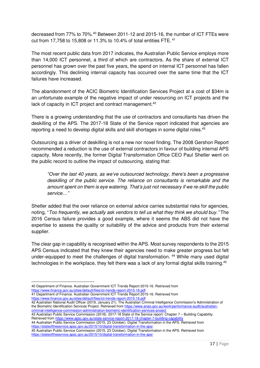decreased from 77% to 70%.<sup>40</sup> Between 2011-12 and 2015-16, the number of ICT FTEs were cut from 17,758 to 15,808 or 11.3% to 10.4% of total entities FTE.<sup>41</sup>

The most recent public data from 2017 indicates, the Australian Public Service employs more than 14,000 ICT personnel, a third of which are contractors. As the share of external ICT personnel has grown over the past five years, the spend on internal ICT personnel has fallen accordingly. This declining internal capacity has occurred over the same time that the ICT failures have increased.

The abandonment of the ACIC Biometric Identification Services Project at a cost of \$34m is an unfortunate example of the negative impact of under resourcing on ICT projects and the lack of capacity in ICT project and contract management.<sup>42</sup>

There is a growing understanding that the use of contractors and consultants has driven the deskilling of the APS. The 2017-18 State of the Service report indicated that agencies are reporting a need to develop digital skills and skill shortages in some digital roles.<sup>43</sup>

Outsourcing as a driver of deskilling is not a new nor novel finding. The 2008 Gershon Report recommended a reduction is the use of external contractors in favour of building internal APS capacity. More recently, the former Digital Transformation Office CEO Paul Shetler went on the public record to outline the impact of outsourcing, stating that:

"Over the last 40 years, as we've outsourced technology, there's been a progressive deskilling of the public service. The reliance on consultants is remarkable and the amount spent on them is eye watering. That's just not necessary if we re-skill the public service…"

Shetler added that the over reliance on external advice carries substantial risks for agencies, noting, "Too frequently, we actually ask vendors to tell us what they think we should buy." The 2016 Census failure provides a good example, where it seems the ABS did not have the expertise to assess the quality or suitability of the advice and products from their external supplier.

The clear gap in capability is recognised within the APS. Most survey respondents to the 2015 APS Census indicated that they knew their agencies need to make greater progress but felt under-equipped to meet the challenges of digital transformation.<sup>44</sup> While many used digital technologies in the workplace, they felt there was a lack of any formal digital skills training.<sup>45</sup>

40 Department of Finance. Australian Government ICT Trends Report 2015-16. Retrieved from https://www.finance.gov.au/sites/default/files/ict-trends-report-2015-16.pd

 $\overline{a}$ 

41 Department of Finance. Australian Government ICT Trends Report 2015-16. Retrieved from https://www.finance.gov.au/sites/default/files/ict-trends-report-2015-16.pdf

42 Australian National Audit Officer (2019, January 21). The Australian Criminal Intelligence Commission's Administration of the Biometric Identification Services Project. Retrieved from https://www.anao.gov.au/work/performance-audit/australiancriminal-intelligence-commission-administration-biometric-identification-services-project

43 Australian Public Service Commission (2018). 2017-18 State of the Service report: Chapter 7 – Building Capability. Retrieved from https://www.apsc.gov.au/state-service-report-2017-18-chapter-7-building-capability

44 Australian Public Service Commission (2015, 23 October). Digital Transformation in the APS. Retrieved from https://stateoftheservice.apsc.gov.au/2015/10/digital-transformation-in-the-aps/

45 Australian Public Service Commission (2015, 23 October). Digital Transformation in the APS. Retrieved from https://stateoftheservice.apsc.gov.au/2015/10/digital-transformation-in-the-aps/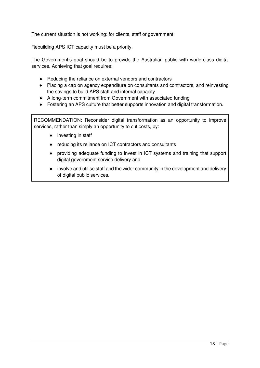The current situation is not working: for clients, staff or government.

Rebuilding APS ICT capacity must be a priority.

The Government's goal should be to provide the Australian public with world-class digital services. Achieving that goal requires:

- Reducing the reliance on external vendors and contractors
- Placing a cap on agency expenditure on consultants and contractors, and reinvesting the savings to build APS staff and internal capacity
- A long-term commitment from Government with associated funding
- Fostering an APS culture that better supports innovation and digital transformation.

RECOMMENDATION: Reconsider digital transformation as an opportunity to improve services, rather than simply an opportunity to cut costs, by:

- investing in staff
- reducing its reliance on ICT contractors and consultants
- providing adequate funding to invest in ICT systems and training that support digital government service delivery and
- involve and utilise staff and the wider community in the development and delivery of digital public services.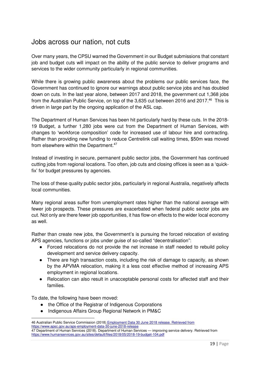## Jobs across our nation, not cuts

Over many years, the CPSU warned the Government in our Budget submissions that constant job and budget cuts will impact on the ability of the public service to deliver programs and services to the wider community particularly in regional communities.

While there is growing public awareness about the problems our public services face, the Government has continued to ignore our warnings about public service jobs and has doubled down on cuts. In the last year alone, between 2017 and 2018, the government cut 1,368 jobs from the Australian Public Service, on top of the 3,635 cut between 2016 and 2017.<sup>46</sup> This is driven in large part by the ongoing application of the ASL cap.

The Department of Human Services has been hit particularly hard by these cuts. In the 2018- 19 Budget, a further 1,280 jobs were cut from the Department of Human Services, with changes to 'workforce composition' code for increased use of labour hire and contracting. Rather than providing new funding to reduce Centrelink call waiting times, \$50m was moved from elsewhere within the Department.<sup>47</sup>

Instead of investing in secure, permanent public sector jobs, the Government has continued cutting jobs from regional locations. Too often, job cuts and closing offices is seen as a 'quickfix' for budget pressures by agencies.

The loss of these quality public sector jobs, particularly in regional Australia, negatively affects local communities.

Many regional areas suffer from unemployment rates higher than the national average with fewer job prospects. These pressures are exacerbated when federal public sector jobs are cut. Not only are there fewer job opportunities, it has flow-on effects to the wider local economy as well.

Rather than create new jobs, the Government's is pursuing the forced relocation of existing APS agencies, functions or jobs under guise of so-called "decentralisation":

- Forced relocations do not provide the net increase in staff needed to rebuild policy development and service delivery capacity.
- There are high transaction costs, including the risk of damage to capacity, as shown by the APVMA relocation, making it a less cost effective method of increasing APS employment in regional locations.
- Relocation can also result in unacceptable personal costs for affected staff and their families.

To date, the following have been moved:

l

- the Office of the Registrar of Indigenous Corporations
- Indigenous Affairs Group Regional Network in PM&C

<sup>46</sup> Australian Public Service Commission (2018) Employment Data 30 June 2018 release. Retrieved from https://www.apsc.gov.au/aps-employment-data-30-june-2018-release 47 Department of Human Services (2018). Department of Human Services — improving service delivery. Retrieved from https://www.humanservices.gov.au/sites/default/files/2018/05/2018-19-budget-104.pdf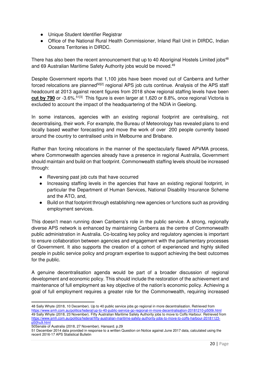- Unique Student Identifier Registrar
- Office of the National Rural Health Commissioner, Inland Rail Unit in DIRDC, Indian Oceans Territories in DIRDC.

There has also been the recent announcement that up to 40 Aboriginal Hostels Limited jobs<sup>48</sup> and 69 Australian Maritime Safety Authority jobs would be moved.<sup>49</sup>

Despite Government reports that 1,100 jobs have been moved out of Canberra and further forced relocations are planned<sup>50[2]</sup> regional APS job cuts continue. Analysis of the APS staff headcount at 2013 against recent figures from 2018 show regional staffing levels have been **cut by 790** or -3.6%.<sup>51[3]</sup> This figure is even larger at 1,620 or 8.8%, once regional Victoria is excluded to account the impact of the headquartering of the NDIA in Geelong.

In some instances, agencies with an existing regional footprint are centralising, not decentralising, their work. For example, the Bureau of Meteorology has revealed plans to end locally based weather forecasting and move the work of over 200 people currently based around the country to centralised units in Melbourne and Brisbane.

Rather than forcing relocations in the manner of the spectacularly flawed APVMA process, where Commonwealth agencies already have a presence in regional Australia, Government should maintain and build on that footprint. Commonwealth staffing levels should be increased through:

- Reversing past job cuts that have occurred
- Increasing staffing levels in the agencies that have an existing regional footprint, in particular the Department of Human Services, National Disability Insurance Scheme and the ATO, and,
- Build on that footprint through establishing new agencies or functions such as providing employment services.

This doesn't mean running down Canberra's role in the public service. A strong, regionally diverse APS network is enhanced by maintaining Canberra as the centre of Commonwealth public administration in Australia. Co-locating key policy and regulatory agencies is important to ensure collaboration between agencies and engagement with the parliamentary processes of Government. It also supports the creation of a cohort of experienced and highly skilled people in public service policy and program expertise to support achieving the best outcomes for the public.

A genuine decentralisation agenda would be part of a broader discussion of regional development and economic policy. This should include the restoration of the achievement and maintenance of full employment as key objective of the nation's economic policy. Achieving a goal of full employment requires a greater role for the Commonwealth, requiring increased

 $\overline{a}$ 48 Sally Whyte (2018, 10 December). Up to 40 public service jobs go regional in more decentralisation. Retrieved from https://www.smh.com.au/politics/federal/up-to-40-public-service-go-regional-in-more-decentralisation-20181210-p50l9i.html 49 Sally Whyte (2018, 23 November). Fifty Australian Maritime Safety Authority jobs to move to Coffs Harbour. Retrieved from https://www.smh.com.au/politics/federal/fifty-australian-maritime-safety-authority-jobs-to-move-to-coffs-harbour-20181123 p50hu9.html

<sup>50</sup>Senate of Australia (2018, 27 November). Hansard. p.29

<sup>51</sup> December 2014 data provided in response to a written Question on Notice against June 2017 data, calculated using the recent 2016-17 APS Statistical Bulletin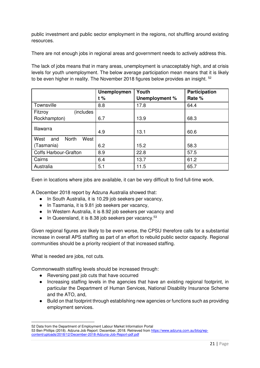public investment and public sector employment in the regions, not shuffling around existing resources.

There are not enough jobs in regional areas and government needs to actively address this.

The lack of jobs means that in many areas, unemployment is unacceptably high, and at crisis levels for youth unemployment. The below average participation mean means that it is likely to be even higher in reality. The November 2018 figures below provides an insight. <sup>52</sup>

|                                     | <b>Unemploymen</b> | Youth          | Participation |  |  |
|-------------------------------------|--------------------|----------------|---------------|--|--|
|                                     | $t\%$              | Unemployment % | Rate %        |  |  |
| Townsville                          | 8.8                | 17.8           | 64.4          |  |  |
| (includes<br>Fitzroy                |                    |                |               |  |  |
| Rockhampton)                        | 6.7                | 13.9           | 68.3          |  |  |
| Illawarra                           |                    |                |               |  |  |
|                                     | 4.9                | 13.1           | 60.6          |  |  |
| West<br><b>North</b><br>West<br>and |                    |                |               |  |  |
| (Tasmania)                          | 6.2                | 15.2           | 58.3          |  |  |
| <b>Coffs Harbour-Grafton</b>        | 8.9                | 22.8           | 57.5          |  |  |
| Cairns                              | 6.4                | 13.7           | 61.2          |  |  |
| Australia                           | 5.1                | 11.5           | 65.7          |  |  |

Even in locations where jobs are available, it can be very difficult to find full-time work.

A December 2018 report by Adzuna Australia showed that:

- In South Australia, it is 10.29 job seekers per vacancy,
- In Tasmania, it is 9.81 job seekers per vacancy,
- In Western Australia, it is 8.92 job seekers per vacancy and
- $\bullet$  In Queensland, it is 8.38 job seekers per vacancy.<sup>53</sup>

Given regional figures are likely to be even worse, the CPSU therefore calls for a substantial increase in overall APS staffing as part of an effort to rebuild public sector capacity. Regional communities should be a priority recipient of that increased staffing.

What is needed are jobs, not cuts.

Commonwealth staffing levels should be increased through:

- Reversing past job cuts that have occurred
- Increasing staffing levels in the agencies that have an existing regional footprint, in particular the Department of Human Services, National Disability Insurance Scheme and the ATO, and,
- Build on that footprint through establishing new agencies or functions such as providing employment services.

l 52 Data from the Department of Employment Labour Market Information Portal

<sup>53</sup> Ben Phillips (2018). Adzuna Job Report: December, 2018. Retrieved from https://www.adzuna.com.au/blog/wpcontent/uploads/2018/12/December-2018-Adzuna-Job-Report-pdf.pdf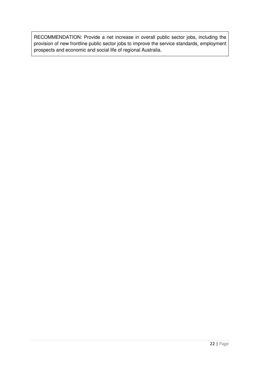RECOMMENDATION: Provide a net increase in overall public sector jobs, including the provision of new frontline public sector jobs to improve the service standards, employment prospects and economic and social life of regional Australia.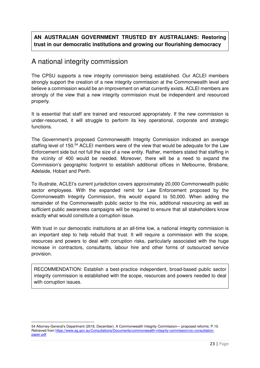**AN AUSTRALIAN GOVERNMENT TRUSTED BY AUSTRALIANS: Restoring trust in our democratic institutions and growing our flourishing democracy** 

# A national integrity commission

The CPSU supports a new integrity commission being established. Our ACLEI members strongly support the creation of a new integrity commission at the Commonwealth level and believe a commission would be an improvement on what currently exists. ACLEI members are strongly of the view that a new integrity commission must be independent and resourced properly.

It is essential that staff are trained and resourced appropriately. If the new commission is under-resourced, it will struggle to perform its key operational, corporate and strategic functions.

The Government's proposed Commonwealth Integrity Commission indicated an average staffing level of 150.<sup>54</sup> ACLEI members were of the view that would be adequate for the Law Enforcement side but not full the size of a new entity. Rather, members stated that staffing in the vicinity of 400 would be needed. Moreover, there will be a need to expand the Commission's geographic footprint to establish additional offices in Melbourne, Brisbane, Adelaide, Hobart and Perth.

To illustrate, ACLEI's current jurisdiction covers approximately 20,000 Commonwealth public sector employees. With the expanded remit for Law Enforcement proposed by the Commonwealth Integrity Commission, this would expand to 50,000. When adding the remainder of the Commonwealth public sector to the mix, additional resourcing as well as sufficient public awareness campaigns will be required to ensure that all stakeholders know exactly what would constitute a corruption issue.

With trust in our democratic institutions at an all-time low, a national integrity commission is an important step to help rebuild that trust. It will require a commission with the scope, resources and powers to deal with corruption risks, particularly associated with the huge increase in contractors, consultants, labour hire and other forms of outsourced service provision.

RECOMMENDATION: Establish a best-practice independent, broad-based public sector integrity commission is established with the scope, resources and powers needed to deal with corruption issues.

l

<sup>54</sup> Attorney-General's Department (2018, December). A Commonwealth Integrity Commission— proposed reforms. P.10. Retrieved from https://www.ag.gov.au/Consultations/Documents/commonwealth-integrity-commission/cic-consultationpaper.pdf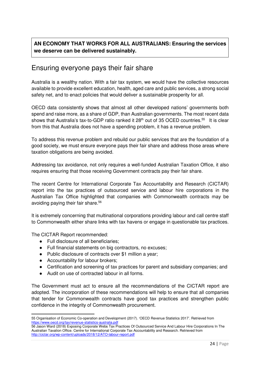## **AN ECONOMY THAT WORKS FOR ALL AUSTRALIANS: Ensuring the services we deserve can be delivered sustainably.**

## Ensuring everyone pays their fair share

Australia is a wealthy nation. With a fair tax system, we would have the collective resources available to provide excellent education, health, aged care and public services, a strong social safety net, and to enact policies that would deliver a sustainable prosperity for all.

OECD data consistently shows that almost all other developed nations' governments both spend and raise more, as a share of GDP, than Australian governments. The most recent data shows that Australia's tax-to-GDP ratio ranked it 28<sup>th</sup> out of 35 OCED countries.<sup>55</sup> It is clear from this that Australia does not have a spending problem, it has a revenue problem.

To address this revenue problem and rebuild our public services that are the foundation of a good society, we must ensure everyone pays their fair share and address those areas where taxation obligations are being avoided.

Addressing tax avoidance, not only requires a well-funded Australian Taxation Office, it also requires ensuring that those receiving Government contracts pay their fair share.

The recent Centre for International Corporate Tax Accountability and Research (CICTAR) report into the tax practices of outsourced service and labour hire corporations in the Australian Tax Office highlighted that companies with Commonwealth contracts may be avoiding paying their fair share.<sup>56</sup>

It is extremely concerning that multinational corporations providing labour and call centre staff to Commonwealth either share links with tax havens or engage in questionable tax practices.

The CICTAR Report recommended:

- Full disclosure of all beneficiaries;
- Full financial statements on big contractors, no excuses;
- Public disclosure of contracts over \$1 million a year;
- Accountability for labour brokers;
- Certification and screening of tax practices for parent and subsidiary companies; and
- Audit on use of contracted labour in all forms.

The Government must act to ensure all the recommendations of the CICTAR report are adopted. The incorporation of these recommendations will help to ensure that all companies that tender for Commonwealth contracts have good tax practices and strengthen public confidence in the integrity of Commonwealth procurement.

l 55 Organisation of Economic Co-operation and Development (2017). 'OECD Revenue Statistics 2017'. Retrieved from https://www.oecd.org/tax/revenue-statistics-australia.pdf

<sup>56</sup> Jason Ward (2018) Exposing Corporate Webs Tax Practices Of Outsourced Service And Labour Hire Corporations In The Australian Taxation Office. Centre for International Corporate Tax Accountability and Research. Retrieved from http://cictar.org/wp-content/uploads/2018/12/ATO-labour-report.pdf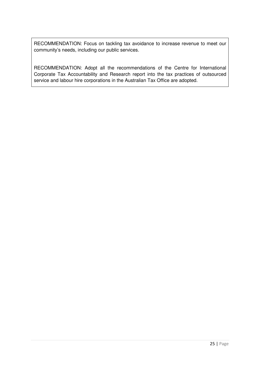RECOMMENDATION: Focus on tackling tax avoidance to increase revenue to meet our community's needs, including our public services.

RECOMMENDATION: Adopt all the recommendations of the Centre for International Corporate Tax Accountability and Research report into the tax practices of outsourced service and labour hire corporations in the Australian Tax Office are adopted.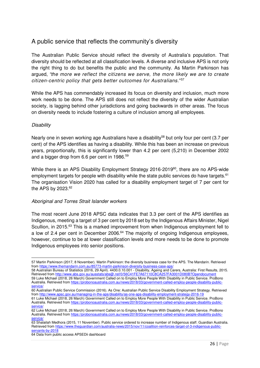## A public service that reflects the community's diversity

The Australian Public Service should reflect the diversity of Australia's population. That diversity should be reflected at all classification levels. A diverse and inclusive APS is not only the right thing to do but benefits the public and the community. As Martin Parkinson has argued, "the more we reflect the citizens we serve, the more likely we are to create citizen-centric policy that gets better outcomes for Australians." 57

While the APS has commendably increased its focus on diversity and inclusion, much more work needs to be done. The APS still does not reflect the diversity of the wider Australian society, is lagging behind other jurisdictions and going backwards in other areas. The focus on diversity needs to include fostering a culture of inclusion among all employees.

#### **Disability**

l

Nearly one in seven working age Australians have a disability<sup>58</sup> but only four per cent (3.7 per cent) of the APS identifies as having a disability. While this has been an increase on previous years, proportionally, this is significantly lower than 4.2 per cent (5,210) in December 2002 and a bigger drop from 6.6 per cent in 1986.<sup>59</sup>

While there is an APS Disability Employment Strategy 2016-2019<sup>60</sup>, there are no APS-wide employment targets for people with disability while the state public services do have targets.<sup>61</sup> The organisation Vision 2020 has called for a disability employment target of 7 per cent for the APS by 2023.<sup>62</sup>

#### Aboriginal and Torres Strait Islander workers

The most recent June 2018 APSC data indicates that 3.3 per cent of the APS identifies as Indigenous, meeting a target of 3 per cent by 2018 set by the Indigenous Affairs Minister, Nigel Scullion, in 2015.<sup>63</sup> This is a marked improvement from when Indigenous employment fell to a low of 2.4 per cent in December 2006.<sup>64</sup> The majority of ongoing Indigenous employees, however, continue to be at lower classification levels and more needs to be done to promote Indigenous employees into senior positions.

<sup>57</sup> Martin Parkinson (2017, 8 November). Martin Parkinson: the diversity business case for the APS. The Mandarin. Retrieved from https://www.themandarin.com.au/85773-martin-parkinson-diversity-business-case-aps/

<sup>58</sup> Australian Bureau of Statistics (2016, 29 April). 4430.0.10.001 - Disability, Ageing and Carers, Australia: First Results, 2015. Retrieved from http://www.abs.gov.au/ausstats/abs@.nsf/0/56C41FE7A67110C8CA257FA3001D080B?Opendocument 59 Luke Michael (2018, 26 March) Government Called on to Employ More People With Disability in Public Service. ProBono Australia. Retrieved from https://probonoaustralia.com.au/news/2018/03/government-called-employ-people-disability-publicservice/

<sup>60</sup> Australian Public Service Commission (2016). As One: Australian Public Service Disability Employment Strategy. Retrieved from http://www.apsc.gov.au/managing-in-the-aps/disability/as-one-aps-disability-employment-strategy-2016-19

<sup>61</sup> Luke Michael (2018, 26 March) Government Called on to Employ More People With Disability in Public Service. ProBono Australia. Retrieved from https://probonoaustralia.com.au/news/2018/03/government-called-employ-people-disability-publicservice.

<sup>62</sup> Luke Michael (2018, 26 March) Government Called on to Employ More People With Disability in Public Service. ProBono Australia. Retrieved from https://probonoaustralia.com.au/news/2018/03/government-called-employ-people-disability-publicservice/

<sup>63</sup> Shalailah Medhora (2015, 11 November). Public service ordered to increase number of Indigenous staff. Guardian Australia. Retrieved from https://www.theguardian.com/australia-news/2015/nov/11/coalition-reinforces-target-of-3-indigenous-publicservants-by-2018

<sup>64</sup> Data from public access APSEDii dashboard